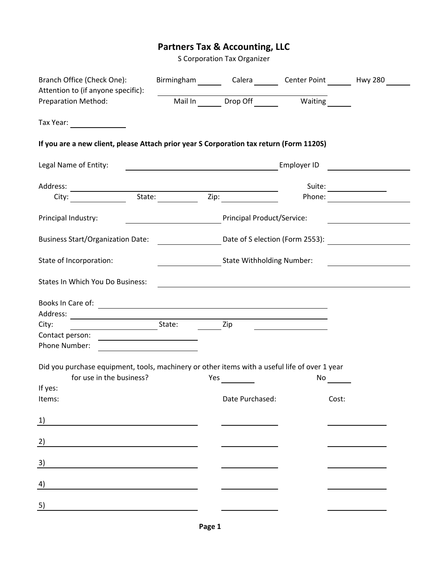## **Partners Tax & Accounting, LLC**

S Corporation Tax Organizer

| Branch Office (Check One):<br>Attention to (if anyone specific):                                                          |                                                                                                                      | Birmingham Calera Center Point Hwy 280          |                                                                                                                  |
|---------------------------------------------------------------------------------------------------------------------------|----------------------------------------------------------------------------------------------------------------------|-------------------------------------------------|------------------------------------------------------------------------------------------------------------------|
| <b>Preparation Method:</b>                                                                                                |                                                                                                                      | Mail In Drop Off Waiting                        |                                                                                                                  |
| Tax Year:                                                                                                                 |                                                                                                                      |                                                 |                                                                                                                  |
| If you are a new client, please Attach prior year S Corporation tax return (Form 1120S)                                   |                                                                                                                      |                                                 |                                                                                                                  |
| Legal Name of Entity:                                                                                                     | <u> 2002 - Jan James James Barbara, prima popular popular popular popular popular popular popular popular popula</u> |                                                 | Employer ID <u>___________________</u>                                                                           |
| Address:                                                                                                                  |                                                                                                                      |                                                 | Suite:                                                                                                           |
| City:                                                                                                                     | State: Zip:                                                                                                          | Zip:                                            |                                                                                                                  |
| Principal Industry:                                                                                                       |                                                                                                                      | Principal Product/Service:                      |                                                                                                                  |
| <b>Business Start/Organization Date:</b>                                                                                  |                                                                                                                      | Date of S election (Form 2553): $\qquad \qquad$ |                                                                                                                  |
| State of Incorporation:                                                                                                   |                                                                                                                      | <b>State Withholding Number:</b>                |                                                                                                                  |
| <b>States In Which You Do Business:</b>                                                                                   |                                                                                                                      |                                                 |                                                                                                                  |
|                                                                                                                           |                                                                                                                      |                                                 |                                                                                                                  |
| State:<br>City:                                                                                                           | <b>Example 2</b>                                                                                                     |                                                 |                                                                                                                  |
| Contact person:                                                                                                           |                                                                                                                      |                                                 |                                                                                                                  |
| Did you purchase equipment, tools, machinery or other items with a useful life of over 1 year<br>for use in the business? |                                                                                                                      | Yes $\qquad \qquad \qquad$                      | No results and the set of the set of the set of the set of the set of the set of the set of the set of the set o |
| If yes:                                                                                                                   |                                                                                                                      |                                                 |                                                                                                                  |
| Items:                                                                                                                    |                                                                                                                      | Date Purchased:                                 | Cost:                                                                                                            |
| 1)                                                                                                                        |                                                                                                                      |                                                 |                                                                                                                  |
| $\overline{2}$                                                                                                            |                                                                                                                      |                                                 |                                                                                                                  |
| 3)                                                                                                                        |                                                                                                                      |                                                 |                                                                                                                  |
| 4)                                                                                                                        |                                                                                                                      |                                                 |                                                                                                                  |
| 5)                                                                                                                        |                                                                                                                      |                                                 |                                                                                                                  |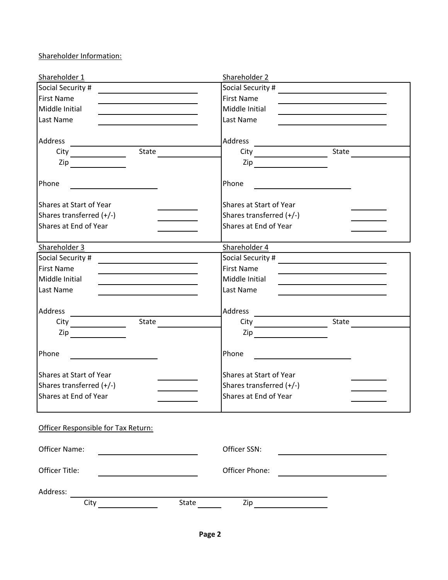Shareholder Information:

| Shareholder 1                                                                                                                              | Shareholder 2                                        |                                                             |
|--------------------------------------------------------------------------------------------------------------------------------------------|------------------------------------------------------|-------------------------------------------------------------|
| Social Security #                                                                                                                          |                                                      |                                                             |
| <b>First Name</b>                                                                                                                          | <b>First Name</b>                                    |                                                             |
| Middle Initial<br><u> 1980 - Johann Barnett, fransk politiker (</u>                                                                        | Middle Initial                                       |                                                             |
| Last Name                                                                                                                                  | Last Name                                            |                                                             |
| Address<br><u> 1989 - Johann Barn, mars ann an t-Amhain Aonaich an t-Aonaich an t-Aonaich ann an t-Aonaich ann an t-Aonaich</u>            |                                                      |                                                             |
| $\overline{\text{State}}$                                                                                                                  |                                                      |                                                             |
| $\mathsf{Zip}\_$                                                                                                                           | $\mathsf{Zip}\_\_$                                   |                                                             |
| Phone                                                                                                                                      | Phone                                                |                                                             |
| Shares at Start of Year                                                                                                                    | Shares at Start of Year                              |                                                             |
| Shares transferred (+/-)                                                                                                                   | Shares transferred (+/-)                             |                                                             |
| Shares at End of Year                                                                                                                      | Shares at End of Year                                |                                                             |
| Shareholder 3                                                                                                                              | Shareholder 4                                        |                                                             |
| Social Security #<br><u> 1989 - Johann Harry Harry Harry Harry Harry Harry Harry Harry Harry Harry Harry Harry Harry Harry Harry Harry</u> |                                                      |                                                             |
| <b>First Name</b>                                                                                                                          | <b>First Name</b>                                    | <u> 1989 - Johann Stein, mars an de Brazilian (b. 1989)</u> |
| Middle Initial                                                                                                                             | Middle Initial                                       | <u> 1980 - Johann Barn, amerikansk politiker (d. 1980)</u>  |
| Last Name                                                                                                                                  | Last Name                                            |                                                             |
| Address                                                                                                                                    | Address                                              |                                                             |
|                                                                                                                                            |                                                      |                                                             |
| $\mathsf{Zip}$                                                                                                                             | $\mathsf{Zip}$                                       |                                                             |
| Phone                                                                                                                                      | Phone<br><u> 1989 - Jan Samuel Barbara, martin d</u> |                                                             |
| Shares at Start of Year                                                                                                                    | Shares at Start of Year                              |                                                             |
| Shares transferred (+/-)                                                                                                                   | Shares transferred (+/-)                             |                                                             |
| Shares at End of Year                                                                                                                      | Shares at End of Year                                |                                                             |
| Officer Responsible for Tax Return:                                                                                                        |                                                      |                                                             |
| Officer Name:                                                                                                                              | Officer SSN:                                         |                                                             |
| Officer Title:                                                                                                                             | Officer Phone:                                       | <u> 1989 - Johann Stein, fransk politik (</u>               |
| Address:                                                                                                                                   |                                                      |                                                             |
| State<br>City                                                                                                                              |                                                      |                                                             |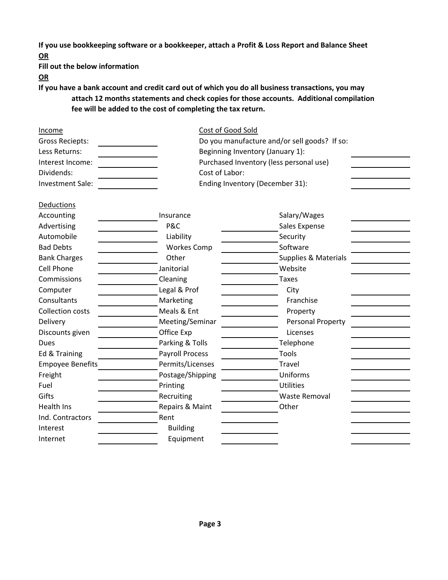**If you use bookkeeping software or a bookkeeper, attach a Profit & Loss Report and Balance Sheet OR**

**Fill out the below information**

**OR**

**If you have a bank account and credit card out of which you do all business transactions, you may attach 12 months statements and check copies for those accounts. Additional compilation fee will be added to the cost of completing the tax return.**

| Do you manufacture and/or sell goods? If so: |  |  |
|----------------------------------------------|--|--|
| Beginning Inventory (January 1):             |  |  |
| Purchased Inventory (less personal use)      |  |  |
| Cost of Labor:                               |  |  |
|                                              |  |  |
|                                              |  |  |
|                                              |  |  |
|                                              |  |  |
|                                              |  |  |
|                                              |  |  |
|                                              |  |  |
|                                              |  |  |
|                                              |  |  |
|                                              |  |  |
|                                              |  |  |
|                                              |  |  |
|                                              |  |  |
|                                              |  |  |
|                                              |  |  |
|                                              |  |  |
|                                              |  |  |
|                                              |  |  |
|                                              |  |  |
|                                              |  |  |
|                                              |  |  |
|                                              |  |  |
|                                              |  |  |
|                                              |  |  |
|                                              |  |  |